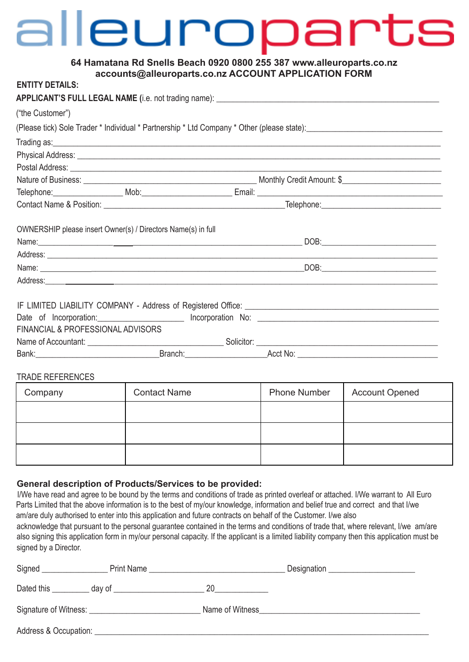# alleuroparts

# **64 Hamatana Rd Snells Beach 0920 0800 255 387 www.alleuroparts.co.nz accounts@alleuroparts.co.nz ACCOUNT APPLICATION FORM**

| <b>ENTITY DETAILS:</b>                                       |                                                                                                                       |                                                                                                                                                                                                                                      |  |
|--------------------------------------------------------------|-----------------------------------------------------------------------------------------------------------------------|--------------------------------------------------------------------------------------------------------------------------------------------------------------------------------------------------------------------------------------|--|
|                                                              |                                                                                                                       |                                                                                                                                                                                                                                      |  |
| ("the Customer")                                             |                                                                                                                       |                                                                                                                                                                                                                                      |  |
|                                                              |                                                                                                                       | (Please tick) Sole Trader * Individual * Partnership * Ltd Company * Other (please state): \\connection = \\connection = \\connection = \\connection = \\connection = \\connection = \\connection = \\connection = \\connectio       |  |
|                                                              |                                                                                                                       |                                                                                                                                                                                                                                      |  |
|                                                              |                                                                                                                       | Physical Address: Law Management of the Contract of the Contract of the Contract of the Contract of the Contract of the Contract of the Contract of the Contract of the Contract of the Contract of the Contract of the Contra       |  |
|                                                              | Postal Address: <u>Communications</u> and Communications and Communications and Communications and Communications and |                                                                                                                                                                                                                                      |  |
|                                                              |                                                                                                                       |                                                                                                                                                                                                                                      |  |
|                                                              |                                                                                                                       |                                                                                                                                                                                                                                      |  |
|                                                              |                                                                                                                       |                                                                                                                                                                                                                                      |  |
| OWNERSHIP please insert Owner(s) / Directors Name(s) in full |                                                                                                                       |                                                                                                                                                                                                                                      |  |
|                                                              |                                                                                                                       | Address: <u>Communications of the set of the set of the set of the set of the set of the set of the set of the set of the set of the set of the set of the set of the set of the set of the set of the set of the set of the set</u> |  |
|                                                              |                                                                                                                       |                                                                                                                                                                                                                                      |  |
|                                                              |                                                                                                                       |                                                                                                                                                                                                                                      |  |
| FINANCIAL & PROFESSIONAL ADVISORS                            |                                                                                                                       | Date of Incorporation: Incorporation No: Incorporation No: 1997                                                                                                                                                                      |  |
|                                                              |                                                                                                                       |                                                                                                                                                                                                                                      |  |
|                                                              |                                                                                                                       |                                                                                                                                                                                                                                      |  |
|                                                              |                                                                                                                       |                                                                                                                                                                                                                                      |  |

# TRADE REFERENCES

| Company | <b>Contact Name</b> | <b>Phone Number</b> | <b>Account Opened</b> |
|---------|---------------------|---------------------|-----------------------|
|         |                     |                     |                       |
|         |                     |                     |                       |
|         |                     |                     |                       |

# **General description of Products/Services to be provided:**

I/We have read and agree to be bound by the terms and conditions of trade as printed overleaf or attached. I/We warrant to All Euro Parts Limited that the above information is to the best of my/our knowledge, information and belief true and correct and that I/we am/are duly authorised to enter into this application and future contracts on behalf of the Customer. I/we also acknowledge that pursuant to the personal guarantee contained in the terms and conditions of trade that, where relevant, I/we am/are also signing this application form in my/our personal capacity. If the applicant is a limited liability company then this application must be signed by a Director.

| Signed                | Print Name           |                 | Designation <u>example and the set of the set of the set of the set of the set of the set of the set of the set of the set of the set of the set of the set of the set of the set of the set of the set of the set of the set of</u> |
|-----------------------|----------------------|-----------------|--------------------------------------------------------------------------------------------------------------------------------------------------------------------------------------------------------------------------------------|
| Dated this            | $\frac{1}{2}$ day of | 20              |                                                                                                                                                                                                                                      |
|                       |                      | Name of Witness |                                                                                                                                                                                                                                      |
| Address & Occupation: |                      |                 |                                                                                                                                                                                                                                      |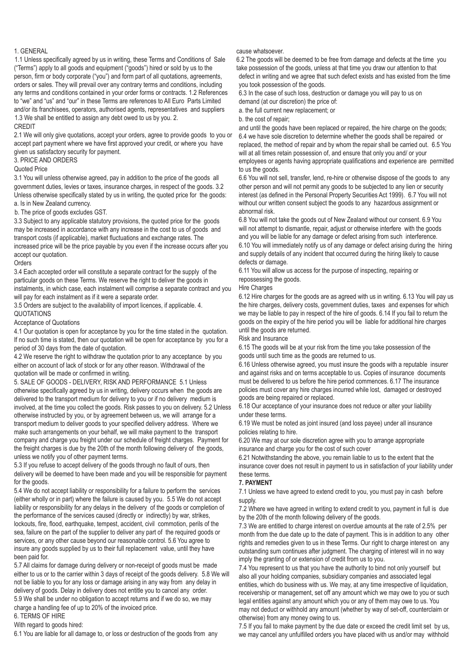#### 1. GENERAL

1.1 Unless specifically agreed by us in writing, these Terms and Conditions of Sale ("Terms") apply to all goods and equipment ("goods") hired or sold by us to the person, firm or body corporate ("you") and form part of all quotations, agreements, orders or sales. They will prevail over any contrary terms and conditions, including any terms and conditions contained in your order forms or contracts. 1.2 References to "we" and "us" and "our" in these Terms are references to All Euro Parts Limited and/or its franchisees, operators, authorised agents, representatives and suppliers 1.3 We shall be entitled to assign any debt owed to us by you. 2.

#### CREDIT

2.1 We will only give quotations, accept your orders, agree to provide goods to you or accept part payment where we have first approved your credit, or where you have given us satisfactory security for payment.

## 3. PRICE AND ORDERS

Quoted Price

3.1 You will unless otherwise agreed, pay in addition to the price of the goods all government duties, levies or taxes, insurance charges, in respect of the goods. 3.2 Unless otherwise specifically stated by us in writing, the quoted price for the goods: a. Is in New Zealand currency.

### b. The price of goods excludes GST.

3.3 Subject to any applicable statutory provisions, the quoted price for the goods may be increased in accordance with any increase in the cost to us of goods and transport costs (if applicable), market fluctuations and exchange rates. The increased price will be the price payable by you even if the increase occurs after you accept our quotation.

#### **Orders**

3.4 Each accepted order will constitute a separate contract for the supply of the particular goods on these Terms. We reserve the right to deliver the goods in instalments, in which case, each instalment will comprise a separate contract and you will pay for each instalment as if it were a separate order.

3.5 Orders are subject to the availability of import licences, if applicable. 4. **QUOTATIONS** 

# Acceptance of Quotations

4.1 Our quotation is open for acceptance by you for the time stated in the quotation. If no such time is stated, then our quotation will be open for acceptance by you for a period of 30 days from the date of quotation.

4.2 We reserve the right to withdraw the quotation prior to any acceptance by you either on account of lack of stock or for any other reason. Withdrawal of the quotation will be made or confirmed in writing.

5. SALE OF GOODS - DELIVERY, RISK AND PERFORMANCE 5.1 Unless otherwise specifically agreed by us in writing, delivery occurs when the goods are delivered to the transport medium for delivery to you or if no delivery medium is involved, at the time you collect the goods. Risk passes to you on delivery. 5.2 Unless otherwise instructed by you, or by agreement between us, we will arrange for a transport medium to deliver goods to your specified delivery address. Where we make such arrangements on your behalf, we will make payment to the transport company and charge you freight under our schedule of freight charges. Payment for the freight charges is due by the 20th of the month following delivery of the goods, unless we notify you of other payment terms.

5.3 If you refuse to accept delivery of the goods through no fault of ours, then delivery will be deemed to have been made and you will be responsible for payment for the goods.

5.4 We do not accept liability or responsibility for a failure to perform the services (either wholly or in part) where the failure is caused by you. 5.5 We do not accept liability or responsibility for any delays in the delivery of the goods or completion of the performance of the services caused (directly or indirectly) by war, strikes, lockouts, fire, flood, earthquake, tempest, accident, civil commotion, perils of the sea, failure on the part of the supplier to deliver any part of the required goods or services, or any other cause beyond our reasonable control. 5.6 You agree to insure any goods supplied by us to their full replacement value, until they have been paid for.

5.7 All claims for damage during delivery or non-receipt of goods must be made either to us or to the carrier within 3 days of receipt of the goods delivery. 5.8 We will not be liable to you for any loss or damage arising in any way from any delay in delivery of goods. Delay in delivery does not entitle you to cancel any order. 5.9 We shall be under no obligation to accept returns and if we do so, we may charge a handling fee of up to 20% of the invoiced price.

6. TERMS OF HIRE

With regard to goods hired:

6.1 You are liable for all damage to, or loss or destruction of the goods from any

#### cause whatsoever.

6.2 The goods will be deemed to be free from damage and defects at the time you take possession of the goods, unless at that time you draw our attention to that defect in writing and we agree that such defect exists and has existed from the time you took possession of the goods.

6.3 In the case of such loss, destruction or damage you will pay to us on demand (at our discretion) the price of:

a. the full current new replacement; or

b. the cost of repair;

and until the goods have been replaced or repaired, the hire charge on the goods; 6.4 we have sole discretion to determine whether the goods shall be repaired or replaced, the method of repair and by whom the repair shall be carried out. 6.5 You will at all times retain possession of, and ensure that only you and/ or your employees or agents having appropriate qualifications and experience are permitted to us the goods.

6.6 You will not sell, transfer, lend, re-hire or otherwise dispose of the goods to any other person and will not permit any goods to be subjected to any lien or security interest (as defined in the Personal Property Securities Act 1999). 6.7 You will not without our written consent subject the goods to any hazardous assignment or abnormal risk.

6.8 You will not take the goods out of New Zealand without our consent. 6.9 You will not attempt to dismantle, repair, adjust or otherwise interfere with the goods and you will be liable for any damage or defect arising from such interference. 6.10 You will immediately notify us of any damage or defect arising during the hiring and supply details of any incident that occurred during the hiring likely to cause defects or damage.

6.11 You will allow us access for the purpose of inspecting, repairing or repossessing the goods.

Hire Charges

6.12 Hire charges for the goods are as agreed with us in writing. 6.13 You will pay us the hire charges, delivery costs, government duties, taxes and expenses for which we may be liable to pay in respect of the hire of goods. 6.14 If you fail to return the goods on the expiry of the hire period you will be liable for additional hire charges until the goods are returned.

Risk and Insurance

6.15 The goods will be at your risk from the time you take possession of the goods until such time as the goods are returned to us.

6.16 Unless otherwise agreed, you must insure the goods with a reputable insurer and against risks and on terms acceptable to us. Copies of insurance documents must be delivered to us before the hire period commences. 6.17 The insurance policies must cover any hire charges incurred while lost, damaged or destroyed goods are being repaired or replaced.

6.18 Our acceptance of your insurance does not reduce or alter your liability under these terms.

6.19 We must be noted as joint insured (and loss payee) under all insurance policies relating to hire.

6.20 We may at our sole discretion agree with you to arrange appropriate insurance and charge you for the cost of such cover

6.21 Notwithstanding the above, you remain liable to us to the extent that the insurance cover does not result in payment to us in satisfaction of your liability under these terms.

#### **7. PAYMENT**

7.1 Unless we have agreed to extend credit to you, you must pay in cash before supply.

7.2 Where we have agreed in writing to extend credit to you, payment in full is due by the 20th of the month following delivery of the goods.

7.3 We are entitled to charge interest on overdue amounts at the rate of 2.5% per month from the due date up to the date of payment. This is in addition to any other rights and remedies given to us in these Terms. Our right to charge interest on any outstanding sum continues after judgment. The charging of interest will in no way imply the granting of or extension of credit from us to you.

7.4 You represent to us that you have the authority to bind not only yourself but also all your holding companies, subsidiary companies and associated legal entities, which do business with us. We may, at any time irrespective of liquidation, receivership or management, set off any amount which we may owe to you or such legal entities against any amount which you or any of them may owe to us. You may not deduct or withhold any amount (whether by way of set-off, counterclaim or otherwise) from any money owing to us.

7.5 If you fail to make payment by the due date or exceed the credit limit set by us, we may cancel any unfulfilled orders you have placed with us and/or may withhold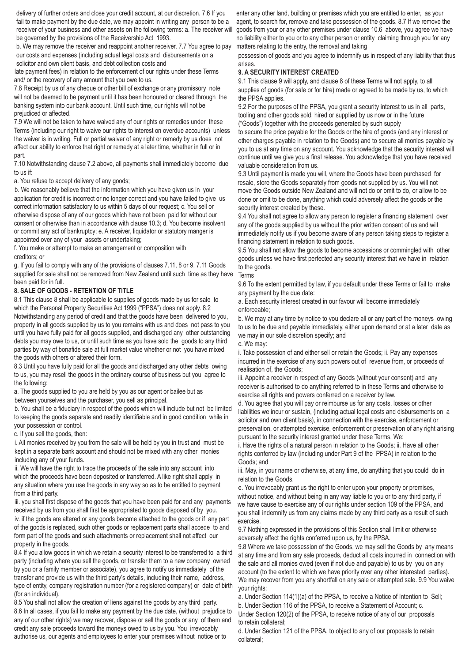delivery of further orders and close your credit account, at our discretion. 7.6 If you fail to make payment by the due date, we may appoint in writing any person to be a receiver of your business and other assets on the following terms: a. The receiver will be governed by the provisions of the Receivership Act 1993.

b. We may remove the receiver and reappoint another receiver. 7.7 You agree to pay our costs and expenses (including actual legal costs and disbursements on a solicitor and own client basis, and debt collection costs and

late payment fees) in relation to the enforcement of our rights under these Terms and/ or the recovery of any amount that you owe to us.

7.8 Receipt by us of any cheque or other bill of exchange or any promissory note will not be deemed to be payment until it has been honoured or cleared through the banking system into our bank account. Until such time, our rights will not be prejudiced or affected.

7.9 We will not be taken to have waived any of our rights or remedies under these Terms (including our right to waive our rights to interest on overdue accounts) unless the waiver is in writing. Full or partial waiver of any right or remedy by us does not affect our ability to enforce that right or remedy at a later time, whether in full or in part.

7.10 Notwithstanding clause 7.2 above, all payments shall immediately become due to us if:

a. You refuse to accept delivery of any goods;

b. We reasonably believe that the information which you have given us in your application for credit is incorrect or no longer correct and you have failed to give us correct information satisfactory to us within 5 days of our request; c. You sell or otherwise dispose of any of our goods which have not been paid for without our consent or otherwise than in accordance with clause 10.3; d. You become insolvent or commit any act of bankruptcy; e. A receiver, liquidator or statutory manger is appointed over any of your assets or undertaking;

f. You make or attempt to make an arrangement or composition with creditors; or

g. If you fail to comply with any of the provisions of clauses 7.11, 8 or 9. 7.11 Goods supplied for sale shall not be removed from New Zealand until such time as they have been paid for in full.

# **8. SALE OF GOODS - RETENTION OF TITLE**

8.1 This clause 8 shall be applicable to supplies of goods made by us for sale to which the Personal Property Securities Act 1999 ("PPSA") does not apply. 8.2 Notwithstanding any period of credit and that the goods have been delivered to you, property in all goods supplied by us to you remains with us and does not pass to you until you have fully paid for all goods supplied, and discharged any other outstanding debts you may owe to us, or until such time as you have sold the goods to any third parties by way of bonafide sale at full market value whether or not you have mixed the goods with others or altered their form.

8.3 Until you have fully paid for all the goods and discharged any other debts owing to us, you may resell the goods in the ordinary course of business but you agree to the following:

a. The goods supplied to you are held by you as our agent or bailee but as between yourselves and the purchaser, you sell as principal.

b. You shall be a fiduciary in respect of the goods which will include but not be limited to keeping the goods separate and readily identifiable and in good condition while in your possession or control.

c. If you sell the goods, then:

i. All monies received by you from the sale will be held by you in trust and must be kept in a separate bank account and should not be mixed with any other monies including any of your funds.

ii. We will have the right to trace the proceeds of the sale into any account into which the proceeds have been deposited or transferred. A like right shall apply in any situation where you use the goods in any way so as to be entitled to payment from a third party.

iii. you shall first dispose of the goods that you have been paid for and any payments received by us from you shall first be appropriated to goods disposed of by you. iv. if the goods are altered or any goods become attached to the goods or if any part of the goods is replaced, such other goods or replacement parts shall accede to and form part of the goods and such attachments or replacement shall not affect our

property in the goods. 8.4 If you allow goods in which we retain a security interest to be transferred to a third party (including where you sell the goods, or transfer them to a new company owned by you or a family member or associate), you agree to notify us immediately of the transfer and provide us with the third party's details, including their name, address, type of entity, company registration number (for a registered company) or date of birth (for an individual).

8.5 You shall not allow the creation of liens against the goods by any third party. 8.6 In all cases, if you fail to make any payment by the due date, (without prejudice to any of our other rights) we may recover, dispose or sell the goods or any of them and credit any sale proceeds toward the moneys owed to us by you. You irrevocably authorise us, our agents and employees to enter your premises without notice or to

enter any other land, building or premises which you are entitled to enter, as your agent, to search for, remove and take possession of the goods. 8.7 If we remove the goods from your or any other premises under clause 10.6 above, you agree we have no liability either to you or to any other person or entity claiming through you for any matters relating to the entry, the removal and taking

possession of goods and you agree to indemnify us in respect of any liability that thus arises.

# **9. A SECURITY INTEREST CREATED**

9.1 This clause 9 will apply, and clause 8 of these Terms will not apply, to all supplies of goods (for sale or for hire) made or agreed to be made by us, to which the PPSA applies.

9.2 For the purposes of the PPSA, you grant a security interest to us in all parts, tooling and other goods sold, hired or supplied by us now or in the future ("Goods") together with the proceeds generated by such supply

to secure the price payable for the Goods or the hire of goods (and any interest or other charges payable in relation to the Goods) and to secure all monies payable by you to us at any time on any account. You acknowledge that the security interest will continue until we give you a final release. You acknowledge that you have received valuable consideration from us.

9.3 Until payment is made you will, where the Goods have been purchased for resale, store the Goods separately from goods not supplied by us. You will not move the Goods outside New Zealand and will not do or omit to do, or allow to be done or omit to be done, anything which could adversely affect the goods or the security interest created by these.

9.4 You shall not agree to allow any person to register a financing statement over any of the goods supplied by us without the prior written consent of us and will immediately notify us if you become aware of any person taking steps to register a financing statement in relation to such goods.

9.5 You shall not allow the goods to become accessions or commingled with other goods unless we have first perfected any security interest that we have in relation to the goods. Terms

9.6 To the extent permitted by law, if you default under these Terms or fail to make any payment by the due date:

a. Each security interest created in our favour will become immediately enforceable;

b. We may at any time by notice to you declare all or any part of the moneys owing to us to be due and payable immediately, either upon demand or at a later date as we may in our sole discretion specify; and

c. We may:

i. Take possession of and either sell or retain the Goods; ii. Pay any expenses incurred in the exercise of any such powers out of revenue from, or proceeds of realisation of, the Goods;

iii. Appoint a receiver in respect of any Goods (without your consent) and any receiver is authorised to do anything referred to in these Terms and otherwise to exercise all rights and powers conferred on a receiver by law.

d. You agree that you will pay or reimburse us for any costs, losses or other liabilities we incur or sustain, (including actual legal costs and disbursements on a solicitor and own client basis), in connection with the exercise, enforcement or preservation, or attempted exercise, enforcement or preservation of any right arising pursuant to the security interest granted under these Terms. We:

i. Have the rights of a natural person in relation to the Goods; ii. Have all other rights conferred by law (including under Part 9 of the PPSA) in relation to the Goods; and

iii. May, in your name or otherwise, at any time, do anything that you could do in relation to the Goods.

e. You irrevocably grant us the right to enter upon your property or premises. without notice, and without being in any way liable to you or to any third party, if we have cause to exercise any of our rights under section 109 of the PPSA, and you shall indemnify us from any claims made by any third party as a result of such exercise.

9.7 Nothing expressed in the provisions of this Section shall limit or otherwise adversely affect the rights conferred upon us, by the PPSA.

9.8 Where we take possession of the Goods, we may sell the Goods by any means at any time and from any sale proceeds, deduct all costs incurred in connection with the sale and all monies owed (even if not due and payable) to us by you on any account (to the extent to which we have priority over any other interested parties). We may recover from you any shortfall on any sale or attempted sale. 9.9 You waive your rights:

a. Under Section 114(1)(a) of the PPSA, to receive a Notice of Intention to Sell; b. Under Section 116 of the PPSA, to receive a Statement of Account; c.

Under Section 120(2) of the PPSA, to receive notice of any of our proposals to retain collateral;

d. Under Section 121 of the PPSA, to object to any of our proposals to retain collateral;